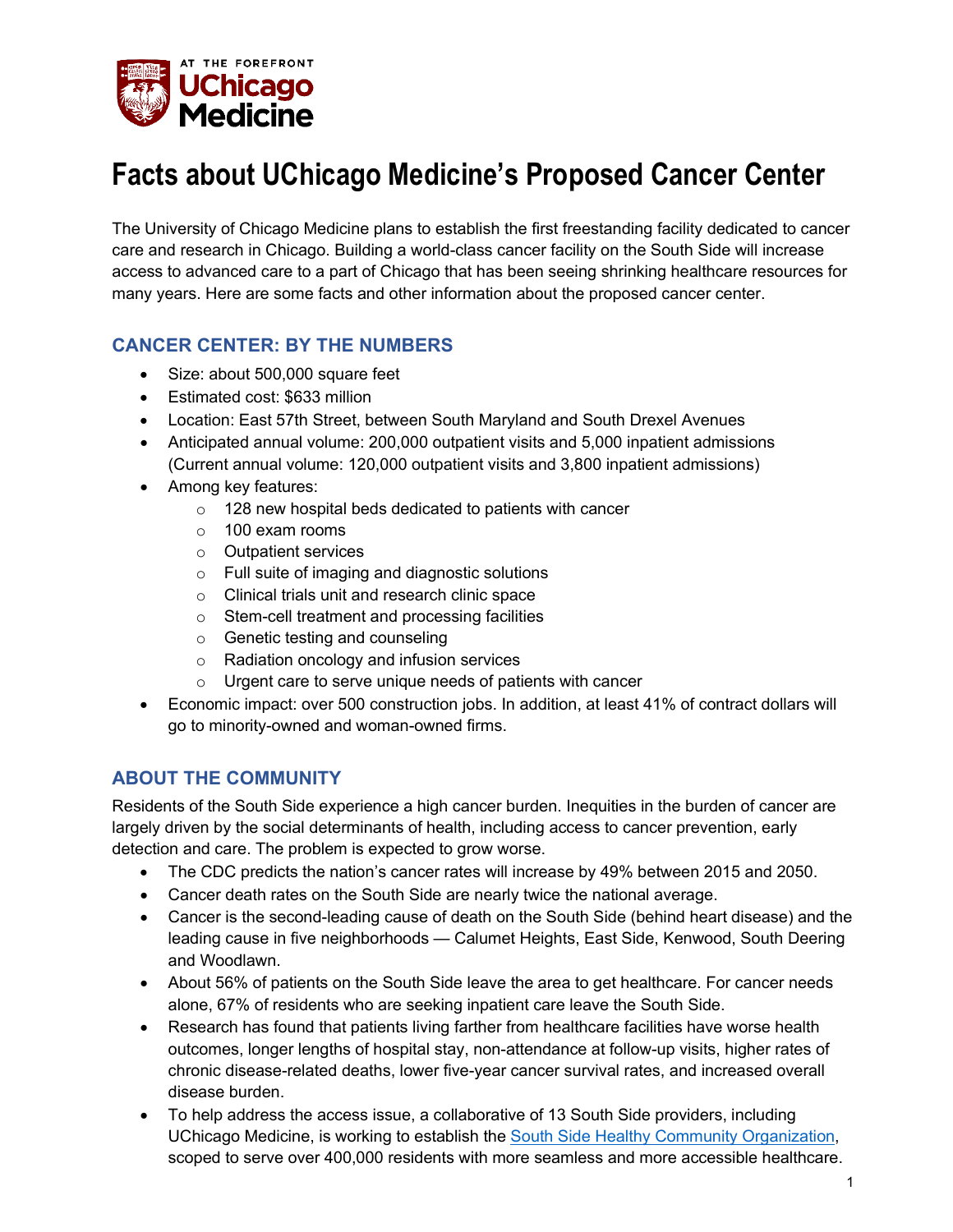

# **Facts about UChicago Medicine's Proposed Cancer Center**

The University of Chicago Medicine plans to establish the first freestanding facility dedicated to cancer care and research in Chicago. Building a world-class cancer facility on the South Side will increase access to advanced care to a part of Chicago that has been seeing shrinking healthcare resources for many years. Here are some facts and other information about the proposed cancer center.

#### **CANCER CENTER: BY THE NUMBERS**

- Size: about 500,000 square feet
- Estimated cost: \$633 million
- Location: East 57th Street, between South Maryland and South Drexel Avenues
- Anticipated annual volume: 200,000 outpatient visits and 5,000 inpatient admissions (Current annual volume: 120,000 outpatient visits and 3,800 inpatient admissions)
- Among key features:
	- $\circ$  128 new hospital beds dedicated to patients with cancer
	- $\circ$  100 exam rooms
	- o Outpatient services
	- o Full suite of imaging and diagnostic solutions
	- o Clinical trials unit and research clinic space
	- o Stem-cell treatment and processing facilities
	- o Genetic testing and counseling
	- o Radiation oncology and infusion services
	- $\circ$  Urgent care to serve unique needs of patients with cancer
- Economic impact: over 500 construction jobs. In addition, at least 41% of contract dollars will go to minority-owned and woman-owned firms.

#### **ABOUT THE COMMUNITY**

Residents of the South Side experience a high cancer burden. Inequities in the burden of cancer are largely driven by the social determinants of health, including access to cancer prevention, early detection and care. The problem is expected to grow worse.

- The CDC predicts the nation's cancer rates will increase by 49% between 2015 and 2050.
- Cancer death rates on the South Side are nearly twice the national average.
- Cancer is the second-leading cause of death on the South Side (behind heart disease) and the leading cause in five neighborhoods — Calumet Heights, East Side, Kenwood, South Deering and Woodlawn.
- About 56% of patients on the South Side leave the area to get healthcare. For cancer needs alone, 67% of residents who are seeking inpatient care leave the South Side.
- Research has found that patients living farther from healthcare facilities have worse health outcomes, longer lengths of hospital stay, non-attendance at follow-up visits, higher rates of chronic disease-related deaths, lower five-year cancer survival rates, and increased overall disease burden.
- To help address the access issue, a collaborative of 13 South Side providers, including UChicago Medicine, is working to establish the [South Side Healthy Community Organization,](https://southsidehealthycommunity.com/) scoped to serve over 400,000 residents with more seamless and more accessible healthcare.